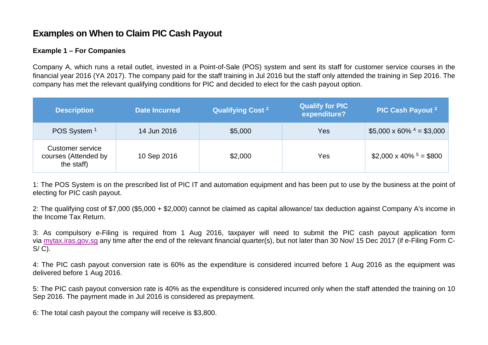## **Examples on When to Claim PIC Cash Payout**

## **Example 1 – For Companies**

Company A, which runs a retail outlet, invested in a Point-of-Sale (POS) system and sent its staff for customer service courses in the financial year 2016 (YA 2017). The company paid for the staff training in Jul 2016 but the staff only attended the training in Sep 2016. The company has met the relevant qualifying conditions for PIC and decided to elect for the cash payout option.

| <b>Description</b>                                     | <b>Date Incurred</b> | <b>Qualifying Cost 2</b> | Qualify for PIC<br>expenditure? | PIC Cash Payout 3                         |
|--------------------------------------------------------|----------------------|--------------------------|---------------------------------|-------------------------------------------|
| POS System <sup>1</sup>                                | 14 Jun 2016          | \$5,000                  | Yes                             | \$5,000 x 60% $4 = $3,000$                |
| Customer service<br>courses (Attended by<br>the staff) | 10 Sep 2016          | \$2,000                  | Yes                             | $$2,000 \times 40\%$ <sup>5</sup> = \$800 |

1: The POS System is on the prescribed list of PIC IT and automation equipment and has been put to use by the business at the point of electing for PIC cash payout.

2: The qualifying cost of \$7,000 (\$5,000 + \$2,000) cannot be claimed as capital allowance/ tax deduction against Company A's income in the Income Tax Return.

3: As compulsory e-Filing is required from 1 Aug 2016, taxpayer will need to submit the PIC cash payout application form via [mytax.iras.gov.sg](https://mytax.iras.gov.sg/ESVWeb/default.aspx) any time after the end of the relevant financial quarter(s), but not later than 30 Nov/ 15 Dec 2017 (if e-Filing Form C- $S/C$ ).

4: The PIC cash payout conversion rate is 60% as the expenditure is considered incurred before 1 Aug 2016 as the equipment was delivered before 1 Aug 2016.

5: The PIC cash payout conversion rate is 40% as the expenditure is considered incurred only when the staff attended the training on 10 Sep 2016. The payment made in Jul 2016 is considered as prepayment.

6: The total cash payout the company will receive is \$3,800.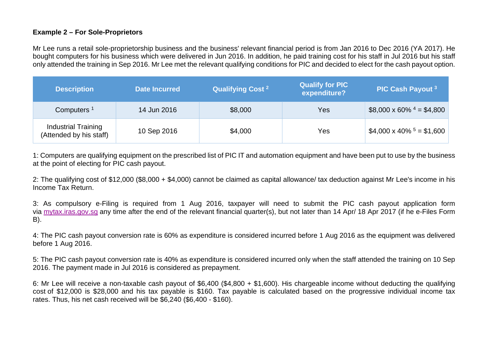### **Example 2 – For Sole-Proprietors**

Mr Lee runs a retail sole-proprietorship business and the business' relevant financial period is from Jan 2016 to Dec 2016 (YA 2017). He bought computers for his business which were delivered in Jun 2016. In addition, he paid training cost for his staff in Jul 2016 but his staff only attended the training in Sep 2016. Mr Lee met the relevant qualifying conditions for PIC and decided to elect for the cash payout option.

| <b>Description</b>                             | <b>Date Incurred</b> | <b>Qualifying Cost 2</b> | Qualify for PIC<br>expenditure? | PIC Cash Payout 3                           |
|------------------------------------------------|----------------------|--------------------------|---------------------------------|---------------------------------------------|
| Computers <sup>1</sup>                         | 14 Jun 2016          | \$8,000                  | Yes                             | \$8,000 x 60% $4 = $4,800$                  |
| Industrial Training<br>(Attended by his staff) | 10 Sep 2016          | \$4,000                  | Yes                             | $$4,000 \times 40\%$ <sup>5</sup> = \$1,600 |

1: Computers are qualifying equipment on the prescribed list of PIC IT and automation equipment and have been put to use by the business at the point of electing for PIC cash payout.

2: The qualifying cost of \$12,000 (\$8,000 + \$4,000) cannot be claimed as capital allowance/ tax deduction against Mr Lee's income in his Income Tax Return.

3: As compulsory e-Filing is required from 1 Aug 2016, taxpayer will need to submit the PIC cash payout application form via [mytax.iras.gov.sg](https://mytax.iras.gov.sg/ESVWeb/default.aspx) any time after the end of the relevant financial quarter(s), but not later than 14 Apr/ 18 Apr 2017 (if he e-Files Form B).

4: The PIC cash payout conversion rate is 60% as expenditure is considered incurred before 1 Aug 2016 as the equipment was delivered before 1 Aug 2016.

5: The PIC cash payout conversion rate is 40% as expenditure is considered incurred only when the staff attended the training on 10 Sep 2016. The payment made in Jul 2016 is considered as prepayment.

6: Mr Lee will receive a non-taxable cash payout of \$6,400 (\$4,800 + \$1,600). His chargeable income without deducting the qualifying cost of \$12,000 is \$28,000 and his tax payable is \$160. Tax payable is calculated based on the progressive individual income tax rates. Thus, his net cash received will be \$6,240 (\$6,400 - \$160).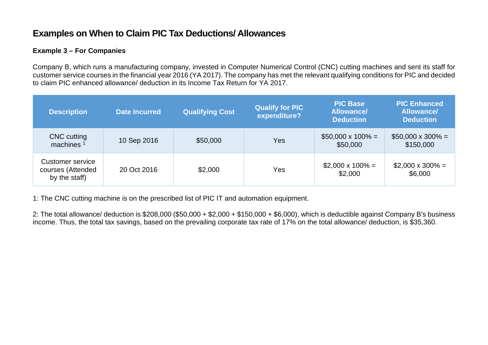# **Examples on When to Claim PIC Tax Deductions/ Allowances**

## **Example 3 – For Companies**

Company B, which runs a manufacturing company, invested in Computer Numerical Control (CNC) cutting machines and sent its staff for customer service courses in the financial year 2016 (YA 2017). The company has met the relevant qualifying conditions for PIC and decided to claim PIC enhanced allowance/ deduction in its Income Tax Return for YA 2017.

| <b>Description</b>                                     | <b>Date Incurred</b> | <b>Qualifying Cost</b> | <b>Qualify for PIC</b><br>expenditure? | <b>PIC Base</b><br><b>Allowance/</b><br><b>Deduction</b> | <b>PIC Enhanced</b><br><b>Allowance/</b><br><b>Deduction</b> |
|--------------------------------------------------------|----------------------|------------------------|----------------------------------------|----------------------------------------------------------|--------------------------------------------------------------|
| <b>CNC</b> cutting<br>machines $1$                     | 10 Sep 2016          | \$50,000               | Yes                                    | $$50,000 \times 100\% =$<br>\$50,000                     | $$50,000 \times 300\% =$<br>\$150,000                        |
| Customer service<br>courses (Attended<br>by the staff) | 20 Oct 2016          | \$2,000                | Yes                                    | $$2,000 \times 100\% =$<br>\$2,000                       | $$2,000 \times 300\% =$<br>\$6,000                           |

1: The CNC cutting machine is on the prescribed list of PIC IT and automation equipment.

2: The total allowance/ deduction is \$208,000 (\$50,000 + \$2,000 + \$150,000 + \$6,000), which is deductible against Company B's business income. Thus, the total tax savings, based on the prevailing corporate tax rate of 17% on the total allowance/ deduction, is \$35,360.